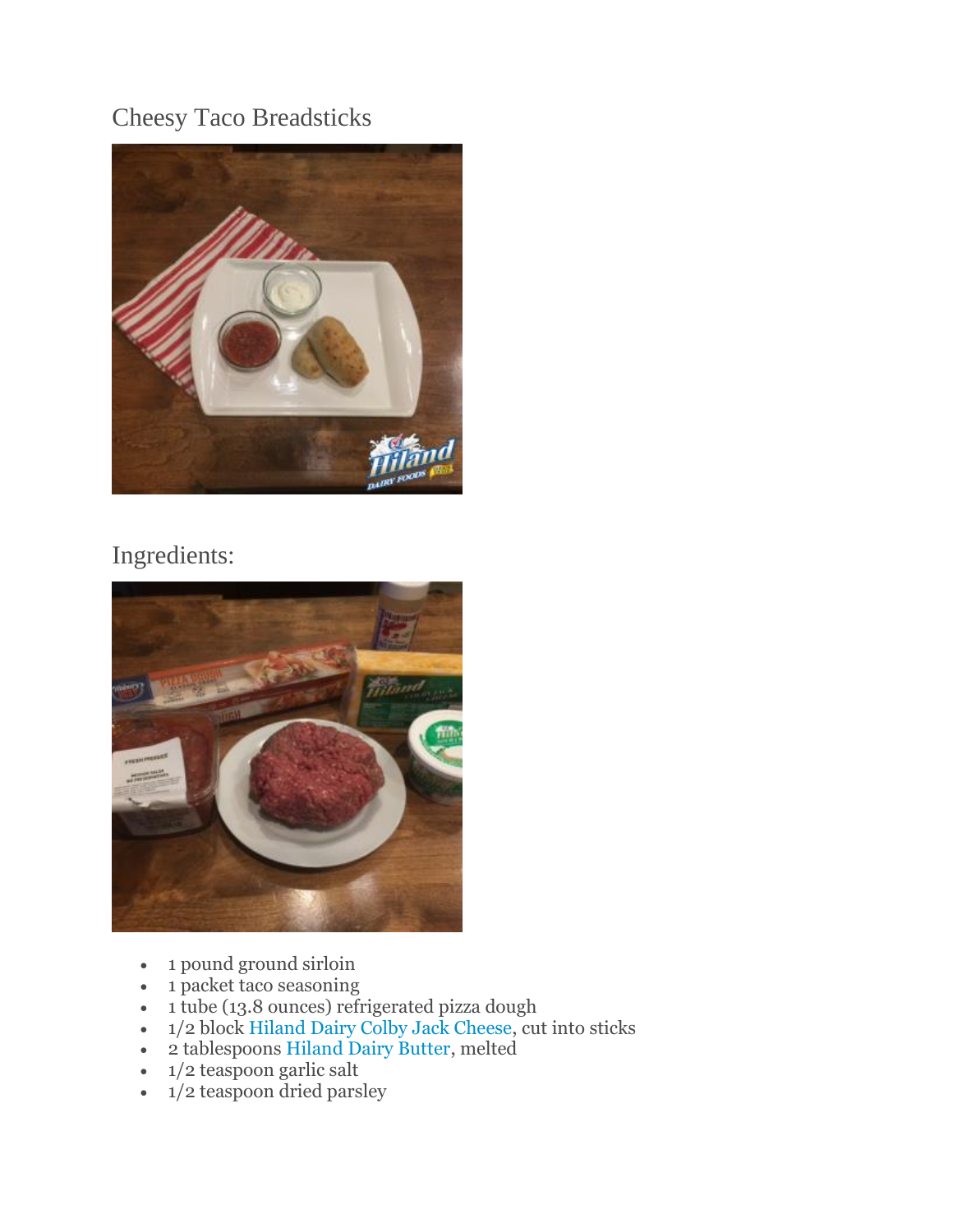## Cheesy Taco Breadsticks



## Ingredients:



- 1 pound ground sirloin
- 1 packet taco seasoning
- 1 tube (13.8 ounces) refrigerated pizza dough
- 1/2 block [Hiland Dairy Colby Jack Cheese,](http://hilanddairy.com/products/cheeses/) cut into sticks
- 2 tablespoons [Hiland Dairy Butter,](http://hilanddairy.com/products/butters/) melted
- 1/2 teaspoon garlic salt
- $\cdot$  1/2 teaspoon dried parsley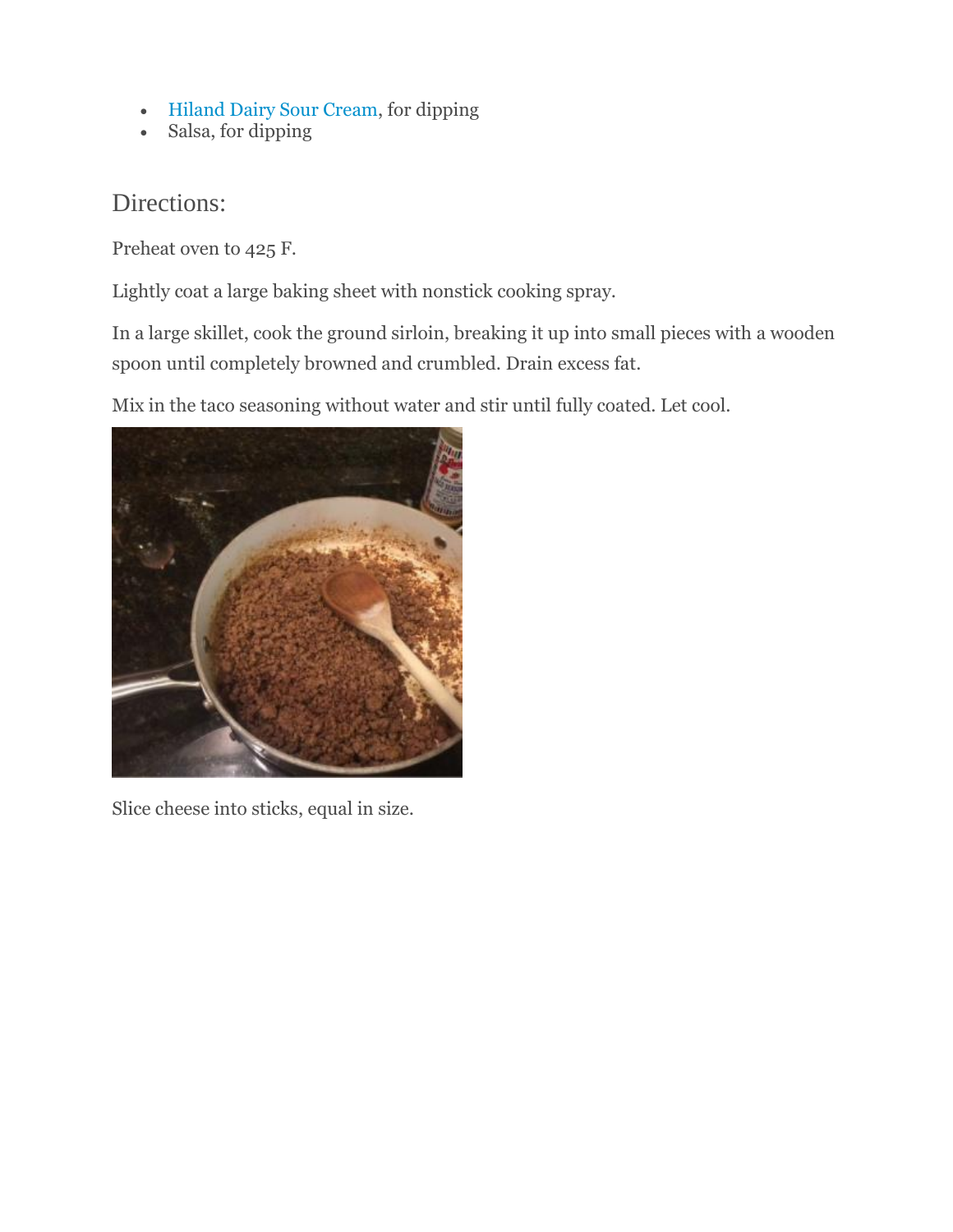- [Hiland Dairy Sour Cream,](http://hilanddairy.com/products/sour-cream/) for dipping
- Salsa, for dipping

## Directions:

Preheat oven to 425 F.

Lightly coat a large baking sheet with nonstick cooking spray.

In a large skillet, cook the ground sirloin, breaking it up into small pieces with a wooden spoon until completely browned and crumbled. Drain excess fat.

Mix in the taco seasoning without water and stir until fully coated. Let cool.



Slice cheese into sticks, equal in size.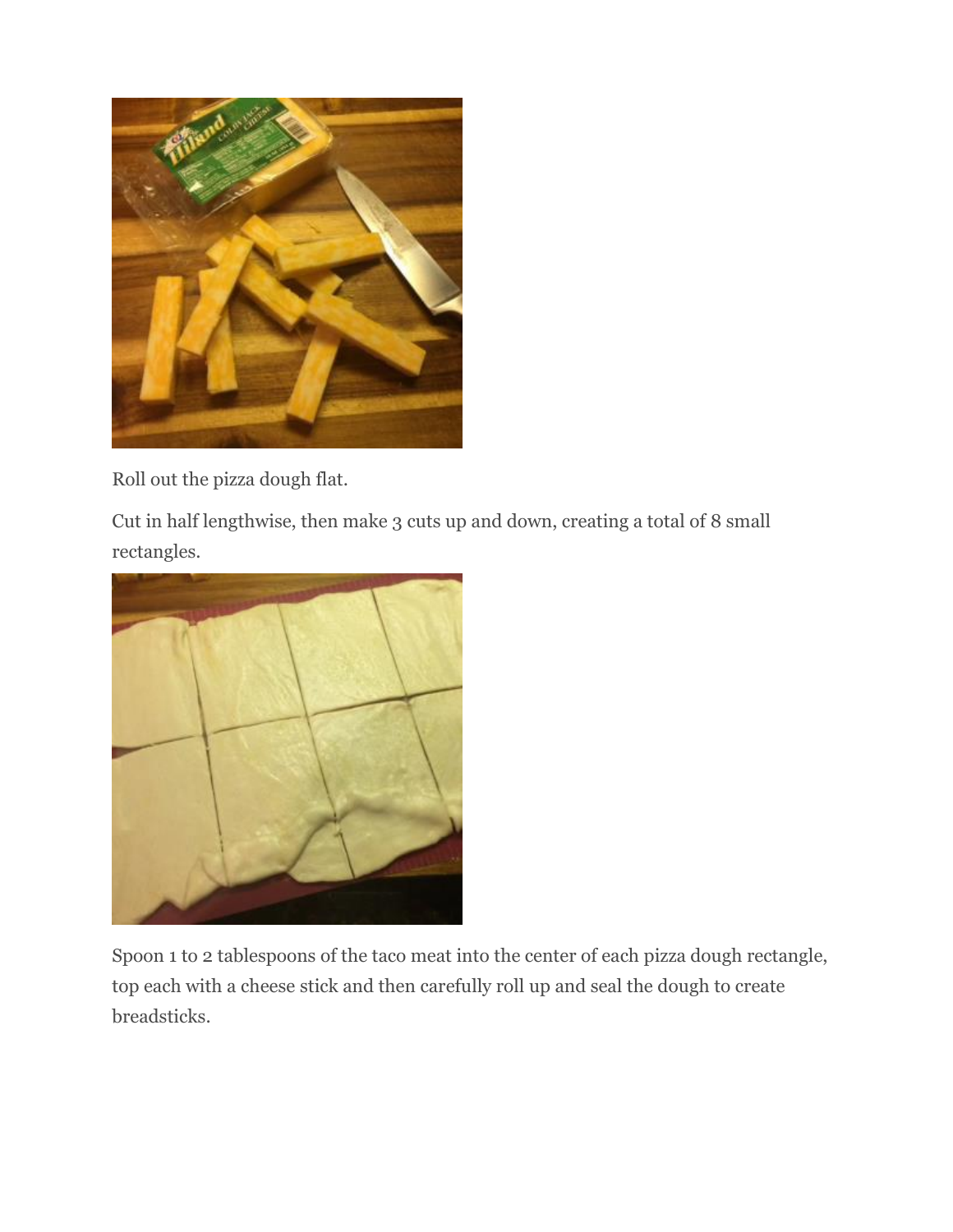

Roll out the pizza dough flat.

Cut in half lengthwise, then make 3 cuts up and down, creating a total of 8 small rectangles.



Spoon 1 to 2 tablespoons of the taco meat into the center of each pizza dough rectangle, top each with a cheese stick and then carefully roll up and seal the dough to create breadsticks.